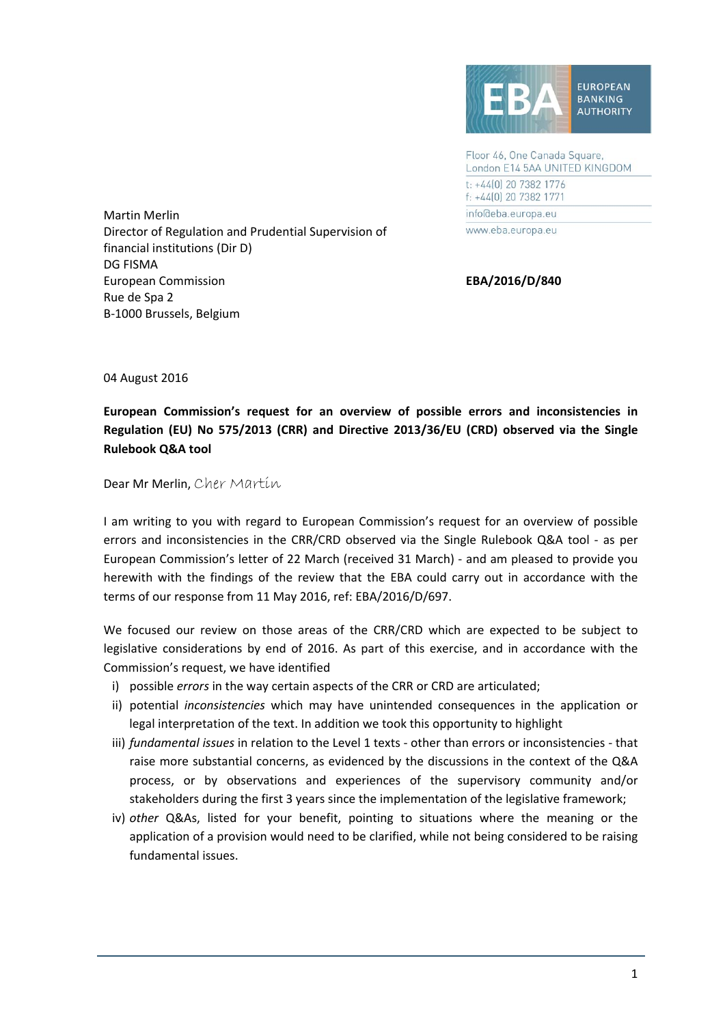

Floor 46, One Canada Square, London E14 5AA UNITED KINGDOM t: +44[0] 20 7382 1776 f: +44(0) 20 7382 1771 info@eba.europa.eu www.eba.europa.eu

Martin Merlin Director of Regulation and Prudential Supervision of financial institutions (Dir D) DG FISMA European Commission **EBA/2016/D/840** Rue de Spa 2 B‐1000 Brussels, Belgium

04 August 2016

**European Commission's request for an overview of possible errors and inconsistencies in Regulation (EU) No 575/2013 (CRR) and Directive 2013/36/EU (CRD) observed via the Single Rulebook Q&A tool**

Dear Mr Merlin, Cher Martin

I am writing to you with regard to European Commission's request for an overview of possible errors and inconsistencies in the CRR/CRD observed via the Single Rulebook Q&A tool - as per European Commission's letter of 22 March (received 31 March) ‐ and am pleased to provide you herewith with the findings of the review that the EBA could carry out in accordance with the terms of our response from 11 May 2016, ref: EBA/2016/D/697.

We focused our review on those areas of the CRR/CRD which are expected to be subject to legislative considerations by end of 2016. As part of this exercise, and in accordance with the Commission's request, we have identified

- i) possible *errors* in the way certain aspects of the CRR or CRD are articulated;
- ii) potential *inconsistencies* which may have unintended consequences in the application or legal interpretation of the text. In addition we took this opportunity to highlight
- iii) *fundamental issues* in relation to the Level 1 texts ‐ other than errors or inconsistencies ‐ that raise more substantial concerns, as evidenced by the discussions in the context of the Q&A process, or by observations and experiences of the supervisory community and/or stakeholders during the first 3 years since the implementation of the legislative framework;
- iv) *other* Q&As, listed for your benefit, pointing to situations where the meaning or the application of a provision would need to be clarified, while not being considered to be raising fundamental issues.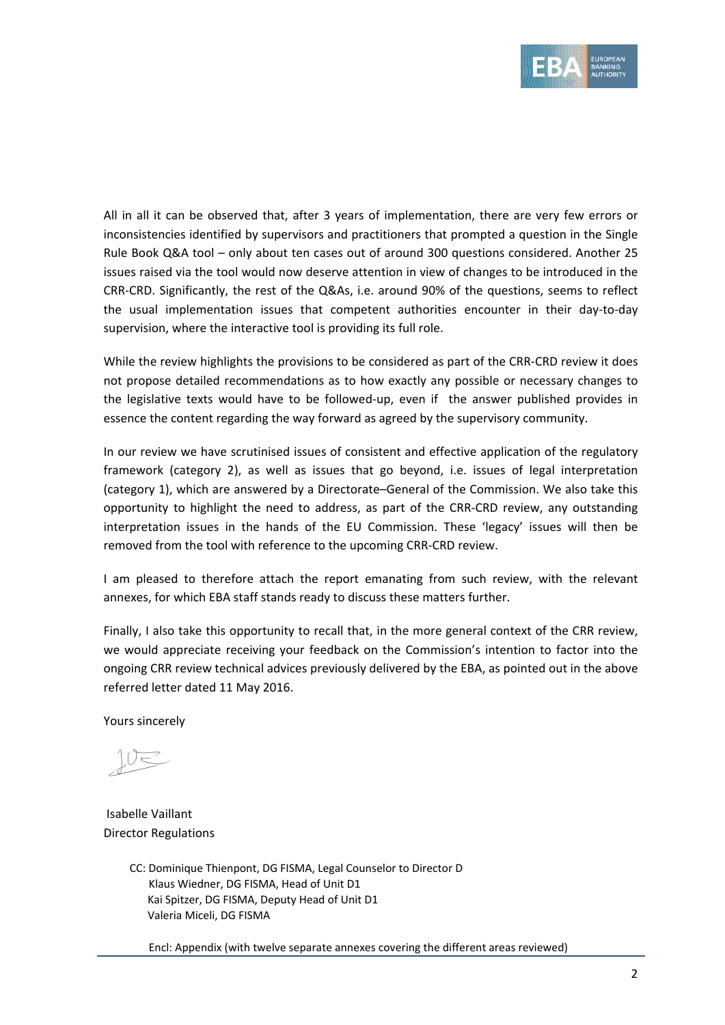

All in all it can be observed that, after 3 years of implementation, there are very few errors or inconsistencies identified by supervisors and practitioners that prompted a question in the Single Rule Book Q&A tool – only about ten cases out of around 300 questions considered. Another 25 issues raised via the tool would now deserve attention in view of changes to be introduced in the CRR‐CRD. Significantly, the rest of the Q&As, i.e. around 90% of the questions, seems to reflect the usual implementation issues that competent authorities encounter in their day‐to‐day supervision, where the interactive tool is providing its full role.

While the review highlights the provisions to be considered as part of the CRR‐CRD review it does not propose detailed recommendations as to how exactly any possible or necessary changes to the legislative texts would have to be followed-up, even if the answer published provides in essence the content regarding the way forward as agreed by the supervisory community.

In our review we have scrutinised issues of consistent and effective application of the regulatory framework (category 2), as well as issues that go beyond, i.e. issues of legal interpretation (category 1), which are answered by a Directorate–General of the Commission. We also take this opportunity to highlight the need to address, as part of the CRR‐CRD review, any outstanding interpretation issues in the hands of the EU Commission. These 'legacy' issues will then be removed from the tool with reference to the upcoming CRR‐CRD review.

I am pleased to therefore attach the report emanating from such review, with the relevant annexes, for which EBA staff stands ready to discuss these matters further.

Finally, I also take this opportunity to recall that, in the more general context of the CRR review, we would appreciate receiving your feedback on the Commission's intention to factor into the ongoing CRR review technical advices previously delivered by the EBA, as pointed out in the above referred letter dated 11 May 2016.

Yours sincerely

ノー

Isabelle Vaillant Director Regulations

CC: Dominique Thienpont, DG FISMA, Legal Counselor to Director D Klaus Wiedner, DG FISMA, Head of Unit D1 Kai Spitzer, DG FISMA, Deputy Head of Unit D1 Valeria Miceli, DG FISMA

Encl: Appendix (with twelve separate annexes covering the different areas reviewed)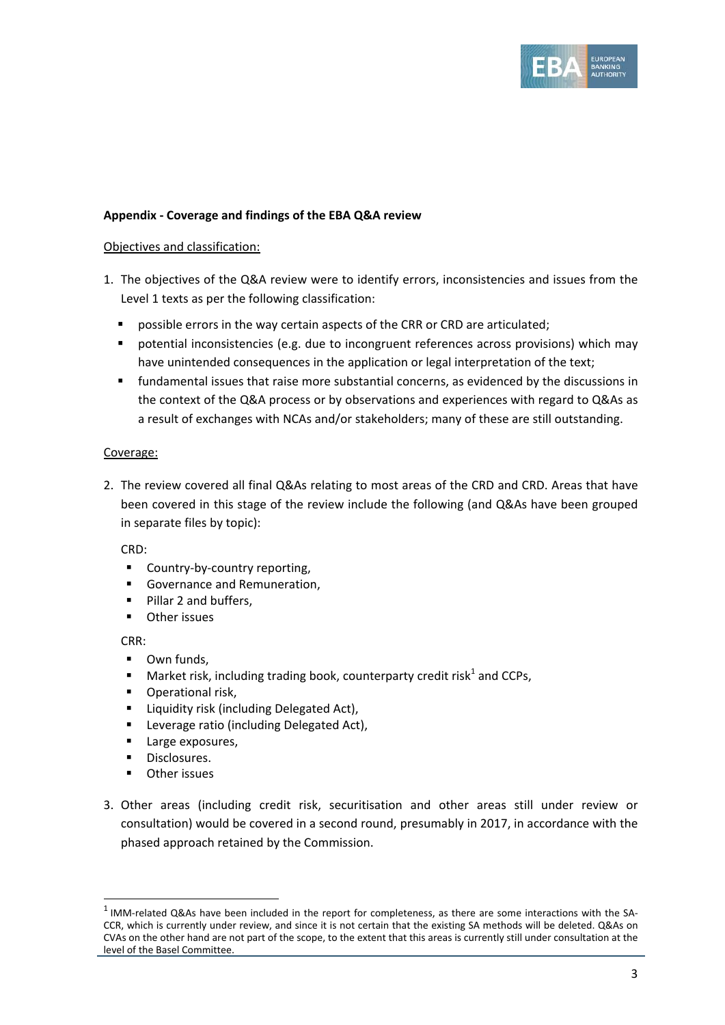

#### **Appendix ‐ Coverage and findings of the EBA Q&A review**

#### Objectives and classification:

- 1. The objectives of the Q&A review were to identify errors, inconsistencies and issues from the Level 1 texts as per the following classification:
	- possible errors in the way certain aspects of the CRR or CRD are articulated;
	- potential inconsistencies (e.g. due to incongruent references across provisions) which may have unintended consequences in the application or legal interpretation of the text;
	- fundamental issues that raise more substantial concerns, as evidenced by the discussions in the context of the Q&A process or by observations and experiences with regard to Q&As as a result of exchanges with NCAs and/or stakeholders; many of these are still outstanding.

#### Coverage:

2. The review covered all final Q&As relating to most areas of the CRD and CRD. Areas that have been covered in this stage of the review include the following (and Q&As have been grouped in separate files by topic):

#### CRD:

- Country-by-country reporting,
- Governance and Remuneration,
- Pillar 2 and buffers,
- **•** Other issues

CRR:

- **-** Own funds.
- **Market risk, including trading book, counterparty credit risk**<sup>1</sup> and CCPs,
- **•** Operational risk,
- **E** Liquidity risk (including Delegated Act),
- **EXEC** Leverage ratio (including Delegated Act),
- **Large exposures,**

<u> Andreas Andreas Andreas Andreas Andreas Andreas Andreas Andreas Andreas Andreas Andreas Andreas Andreas Andr</u>

- **Disclosures.**
- **-** Other issues
- 3. Other areas (including credit risk, securitisation and other areas still under review or consultation) would be covered in a second round, presumably in 2017, in accordance with the phased approach retained by the Commission.

 $1$  IMM-related Q&As have been included in the report for completeness, as there are some interactions with the SA-CCR, which is currently under review, and since it is not certain that the existing SA methods will be deleted. Q&As on CVAs on the other hand are not part of the scope, to the extent that this areas is currently still under consultation at the level of the Basel Committee.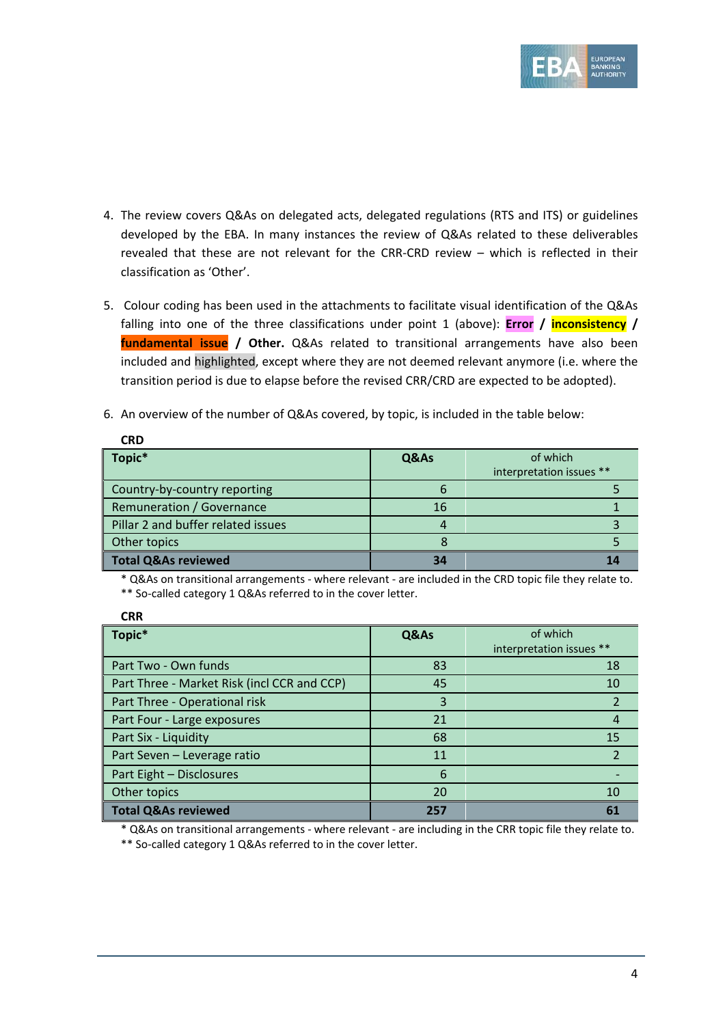

- 4. The review covers Q&As on delegated acts, delegated regulations (RTS and ITS) or guidelines developed by the EBA. In many instances the review of Q&As related to these deliverables revealed that these are not relevant for the CRR‐CRD review – which is reflected in their classification as 'Other'.
- 5. Colour coding has been used in the attachments to facilitate visual identification of the Q&As falling into one of the three classifications under point 1 (above): **Error / inconsistency / fundamental issue / Other.** Q&As related to transitional arrangements have also been included and highlighted, except where they are not deemed relevant anymore (i.e. where the transition period is due to elapse before the revised CRR/CRD are expected to be adopted).
- 6. An overview of the number of Q&As covered, by topic, is included in the table below:

| CRD                                |      |                          |
|------------------------------------|------|--------------------------|
| Topic*                             | Q&As | of which                 |
|                                    |      | interpretation issues ** |
| Country-by-country reporting       | h    |                          |
| Remuneration / Governance          | 16   |                          |
| Pillar 2 and buffer related issues |      |                          |
| Other topics                       |      |                          |
| <b>Total Q&amp;As reviewed</b>     | 34   |                          |

\* Q&As on transitional arrangements ‐ where relevant ‐ are included in the CRD topic file they relate to. \*\* So-called category 1 Q&As referred to in the cover letter.

| <b>CRR</b>                                  |      |                                      |
|---------------------------------------------|------|--------------------------------------|
| Topic*                                      | Q&As | of which<br>interpretation issues ** |
| Part Two - Own funds                        | 83   | 18                                   |
| Part Three - Market Risk (incl CCR and CCP) | 45   | 10                                   |
| Part Three - Operational risk               | 3    | $\overline{2}$                       |
| Part Four - Large exposures                 | 21   | 4                                    |
| Part Six - Liquidity                        | 68   | 15                                   |
| Part Seven - Leverage ratio                 | 11   | $\overline{2}$                       |
| Part Eight - Disclosures                    | 6    |                                      |
| Other topics                                | 20   | 10                                   |
| <b>Total Q&amp;As reviewed</b>              | 257  | 61                                   |

\* Q&As on transitional arrangements ‐ where relevant ‐ are including in the CRR topic file they relate to.

\*\* So-called category 1 Q&As referred to in the cover letter.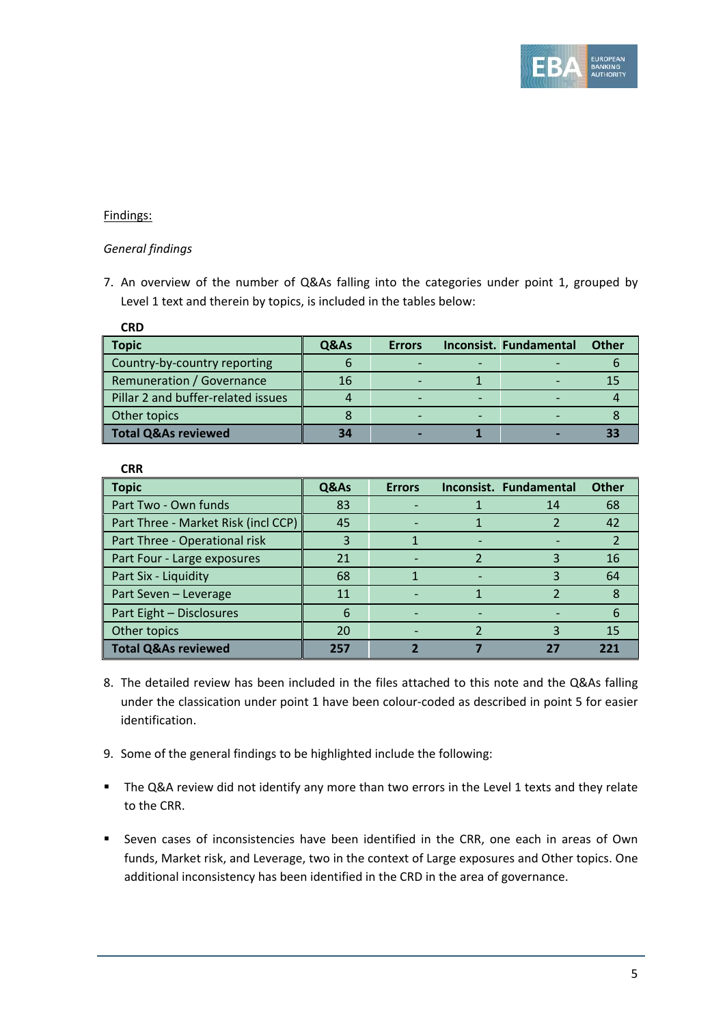

## Findings:

**CRD** 

## *General findings*

7. An overview of the number of Q&As falling into the categories under point 1, grouped by Level 1 text and therein by topics, is included in the tables below:

| <b>Topic</b>                       | Q&As | <b>Errors</b> | Inconsist. Fundamental | <b>Other</b> |
|------------------------------------|------|---------------|------------------------|--------------|
| Country-by-country reporting       |      |               |                        |              |
| Remuneration / Governance          | 16   |               |                        |              |
| Pillar 2 and buffer-related issues |      |               |                        |              |
| Other topics                       |      |               |                        |              |
| <b>Total Q&amp;As reviewed</b>     |      |               |                        |              |

| .,<br>w<br>×<br>.,<br>- |
|-------------------------|
|-------------------------|

| <b>Topic</b>                        | Q&As | <b>Errors</b> |                          | Inconsist. Fundamental | <b>Other</b> |
|-------------------------------------|------|---------------|--------------------------|------------------------|--------------|
| Part Two - Own funds                | 83   |               |                          | 14                     | 68           |
| Part Three - Market Risk (incl CCP) | 45   |               |                          |                        | 42           |
| Part Three - Operational risk       | 3    |               |                          |                        |              |
| Part Four - Large exposures         | 21   |               |                          |                        | 16           |
| Part Six - Liquidity                | 68   |               | $\overline{\phantom{0}}$ |                        | 64           |
| Part Seven - Leverage               | 11   |               |                          |                        |              |
| Part Eight - Disclosures            | 6    |               |                          |                        | 6            |
| Other topics                        | 20   |               |                          |                        | 15           |
| <b>Total Q&amp;As reviewed</b>      | 257  |               |                          | 27                     | 221          |

- 8. The detailed review has been included in the files attached to this note and the Q&As falling under the classication under point 1 have been colour‐coded as described in point 5 for easier identification.
- 9. Some of the general findings to be highlighted include the following:
- The Q&A review did not identify any more than two errors in the Level 1 texts and they relate to the CRR.
- Seven cases of inconsistencies have been identified in the CRR, one each in areas of Own funds, Market risk, and Leverage, two in the context of Large exposures and Other topics. One additional inconsistency has been identified in the CRD in the area of governance.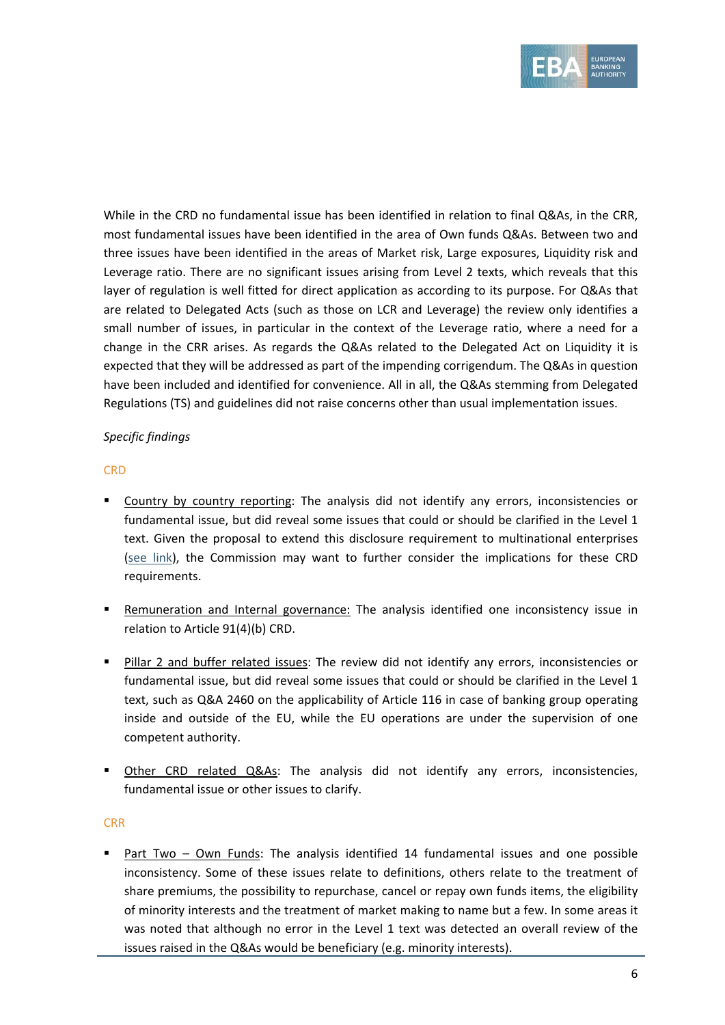

While in the CRD no fundamental issue has been identified in relation to final Q&As, in the CRR, most fundamental issues have been identified in the area of Own funds Q&As. Between two and three issues have been identified in the areas of Market risk, Large exposures, Liquidity risk and Leverage ratio. There are no significant issues arising from Level 2 texts, which reveals that this layer of regulation is well fitted for direct application as according to its purpose. For Q&As that are related to Delegated Acts (such as those on LCR and Leverage) the review only identifies a small number of issues, in particular in the context of the Leverage ratio, where a need for a change in the CRR arises. As regards the Q&As related to the Delegated Act on Liquidity it is expected that they will be addressed as part of the impending corrigendum. The Q&As in question have been included and identified for convenience. All in all, the Q&As stemming from Delegated Regulations (TS) and guidelines did not raise concerns other than usual implementation issues.

## *Specific findings*

# **CRD**

- Country by country reporting: The analysis did not identify any errors, inconsistencies or fundamental issue, but did reveal some issues that could or should be clarified in the Level 1 text. Given the proposal to extend this disclosure requirement to multinational enterprises (see link), the Commission may want to further consider the implications for these CRD requirements.
- Remuneration and Internal governance: The analysis identified one inconsistency issue in relation to Article 91(4)(b) CRD.
- Pillar 2 and buffer related issues: The review did not identify any errors, inconsistencies or fundamental issue, but did reveal some issues that could or should be clarified in the Level 1 text, such as Q&A 2460 on the applicability of Article 116 in case of banking group operating inside and outside of the EU, while the EU operations are under the supervision of one competent authority.
- Other CRD related Q&As: The analysis did not identify any errors, inconsistencies, fundamental issue or other issues to clarify.

## CRR

 Part Two – Own Funds: The analysis identified 14 fundamental issues and one possible inconsistency. Some of these issues relate to definitions, others relate to the treatment of share premiums, the possibility to repurchase, cancel or repay own funds items, the eligibility of minority interests and the treatment of market making to name but a few. In some areas it was noted that although no error in the Level 1 text was detected an overall review of the issues raised in the Q&As would be beneficiary (e.g. minority interests).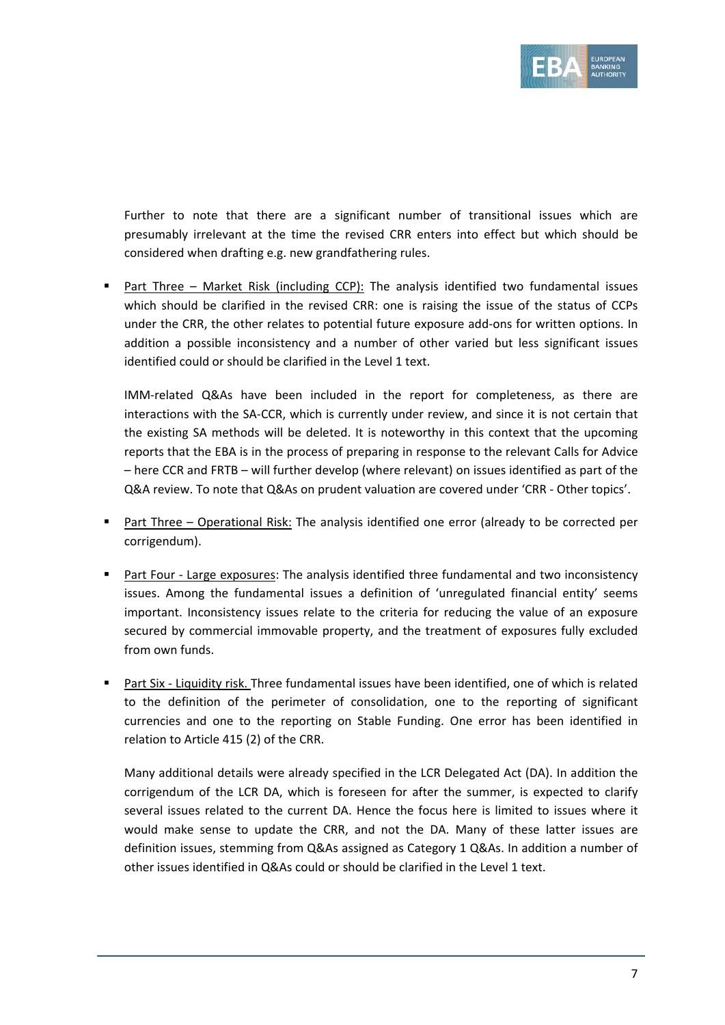

Further to note that there are a significant number of transitional issues which are presumably irrelevant at the time the revised CRR enters into effect but which should be considered when drafting e.g. new grandfathering rules.

 Part Three – Market Risk (including CCP): The analysis identified two fundamental issues which should be clarified in the revised CRR: one is raising the issue of the status of CCPs under the CRR, the other relates to potential future exposure add-ons for written options. In addition a possible inconsistency and a number of other varied but less significant issues identified could or should be clarified in the Level 1 text.

IMM-related Q&As have been included in the report for completeness, as there are interactions with the SA‐CCR, which is currently under review, and since it is not certain that the existing SA methods will be deleted. It is noteworthy in this context that the upcoming reports that the EBA is in the process of preparing in response to the relevant Calls for Advice – here CCR and FRTB – will further develop (where relevant) on issues identified as part of the Q&A review. To note that Q&As on prudent valuation are covered under 'CRR ‐ Other topics'.

- Part Three Operational Risk: The analysis identified one error (already to be corrected per corrigendum).
- Part Four Large exposures: The analysis identified three fundamental and two inconsistency issues. Among the fundamental issues a definition of 'unregulated financial entity' seems important. Inconsistency issues relate to the criteria for reducing the value of an exposure secured by commercial immovable property, and the treatment of exposures fully excluded from own funds.
- Part Six ‐ Liquidity risk. Three fundamental issues have been identified, one of which is related to the definition of the perimeter of consolidation, one to the reporting of significant currencies and one to the reporting on Stable Funding. One error has been identified in relation to Article 415 (2) of the CRR.

Many additional details were already specified in the LCR Delegated Act (DA). In addition the corrigendum of the LCR DA, which is foreseen for after the summer, is expected to clarify several issues related to the current DA. Hence the focus here is limited to issues where it would make sense to update the CRR, and not the DA. Many of these latter issues are definition issues, stemming from Q&As assigned as Category 1 Q&As. In addition a number of other issues identified in Q&As could or should be clarified in the Level 1 text.